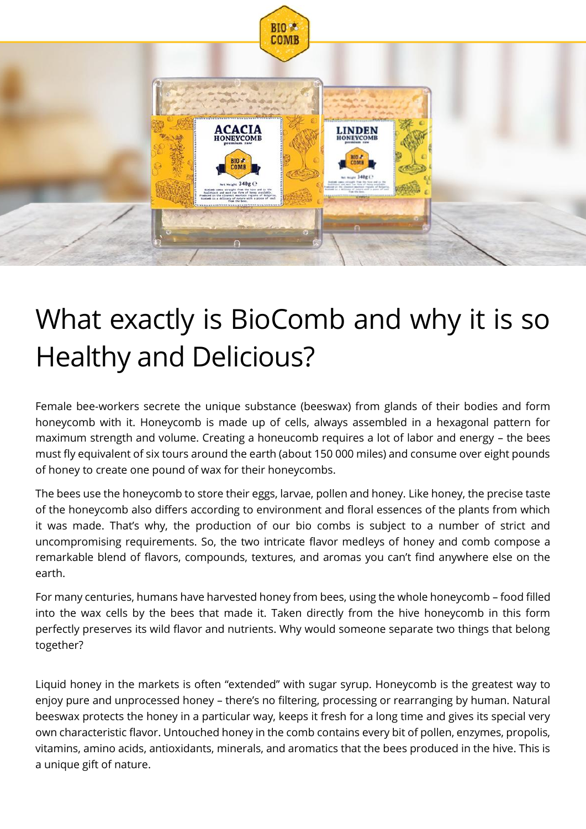

# What exactly is BioComb and why it is so Healthy and Delicious?

Female bee-workers secrete the unique substance (beeswax) from glands of their bodies and form honeycomb with it. Honeycomb is made up of cells, always assembled in a hexagonal pattern for maximum strength and volume. Creating a honeucomb requires a lot of labor and energy – the bees must fly equivalent of six tours around the earth (about 150 000 miles) and consume over eight pounds of honey to create one pound of wax for their honeycombs.

The bees use the honeycomb to store their eggs, larvae, pollen and honey. Like honey, the precise taste of the honeycomb also differs according to environment and floral essences of the plants from which it was made. That's why, the production of our bio combs is subject to a number of strict and uncompromising requirements. So, the two intricate flavor medleys of honey and comb compose a remarkable blend of flavors, compounds, textures, and aromas you can't find anywhere else on the earth.

For many centuries, humans have harvested honey from bees, using the whole honeycomb – food filled into the wax cells by the bees that made it. Taken directly from the hive honeycomb in this form perfectly preserves its wild flavor and nutrients. Why would someone separate two things that belong together?

Liquid honey in the markets is often "extended" with sugar syrup. Honeycomb is the greatest way to enjoy pure and unprocessed honey – there's no filtering, processing or rearranging by human. Natural beeswax protects the honey in a particular way, keeps it fresh for a long time and gives its special very own characteristic flavor. Untouched honey in the comb contains every bit of pollen, enzymes, propolis, vitamins, amino acids, antioxidants, minerals, and aromatics that the bees produced in the hive. This is a unique gift of nature.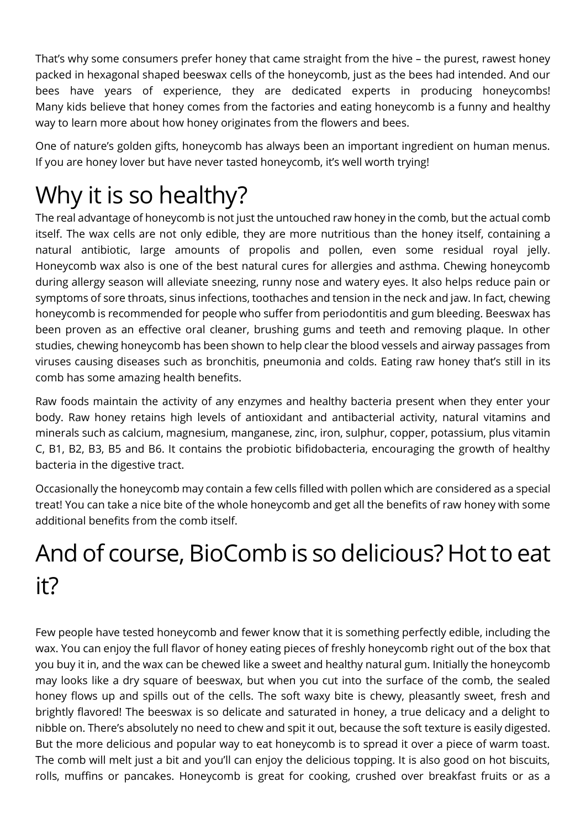That's why some consumers prefer honey that came straight from the hive – the purest, rawest honey packed in hexagonal shaped beeswax cells of the honeycomb, just as the bees had intended. And our bees have years of experience, they are dedicated experts in producing honeycombs! Many kids believe that honey comes from the factories and eating honeycomb is a funny and healthy way to learn more about how honey originates from the flowers and bees.

One of nature's golden gifts, honeycomb has always been an important ingredient on human menus. If you are honey lover but have never tasted honeycomb, it's well worth trying!

## Why it is so healthy?

The real advantage of honeycomb is not just the untouched raw honey in the comb, but the actual comb itself. The wax cells are not only edible, they are more nutritious than the honey itself, containing a natural antibiotic, large amounts of propolis and pollen, even some residual royal jelly. Honeycomb wax also is one of the best natural cures for allergies and asthma. Chewing honeycomb during allergy season will alleviate sneezing, runny nose and watery eyes. It also helps reduce pain or symptoms of sore throats, sinus infections, toothaches and tension in the neck and jaw. In fact, chewing honeycomb is recommended for people who suffer from periodontitis and gum bleeding. Beeswax has been proven as an effective oral cleaner, brushing gums and teeth and removing plaque. In other studies, chewing honeycomb has been shown to help clear the blood vessels and airway passages from viruses causing diseases such as bronchitis, pneumonia and colds. Eating raw honey that's still in its comb has some amazing health benefits.

Raw foods maintain the activity of any enzymes and healthy bacteria present when they enter your body. Raw honey retains high levels of antioxidant and antibacterial activity, natural vitamins and minerals such as calcium, magnesium, manganese, zinc, iron, sulphur, copper, potassium, plus vitamin C, B1, B2, B3, B5 and B6. It contains the probiotic bifidobacteria, encouraging the growth of healthy bacteria in the digestive tract.

Occasionally the honeycomb may contain a few cells filled with pollen which are considered as a special treat! You can take a nice bite of the whole honeycomb and get all the benefits of raw honey with some additional benefits from the comb itself.

### And of course, BioComb is so delicious? Hot to eat it?

Few people have tested honeycomb and fewer know that it is something perfectly edible, including the wax. You can enjoy the full flavor of honey eating pieces of freshly honeycomb right out of the box that you buy it in, and the wax can be chewed like a sweet and healthy natural gum. Initially the honeycomb may looks like a dry square of beeswax, but when you cut into the surface of the comb, the sealed honey flows up and spills out of the cells. The soft waxy bite is chewy, pleasantly sweet, fresh and brightly flavored! The beeswax is so delicate and saturated in honey, a true delicacy and a delight to nibble on. There's absolutely no need to chew and spit it out, because the soft texture is easily digested. But the more delicious and popular way to eat honeycomb is to spread it over a piece of warm toast. The comb will melt just a bit and you'll can enjoy the delicious topping. It is also good on hot biscuits, rolls, muffins or pancakes. Honeycomb is great for cooking, crushed over breakfast fruits or as a